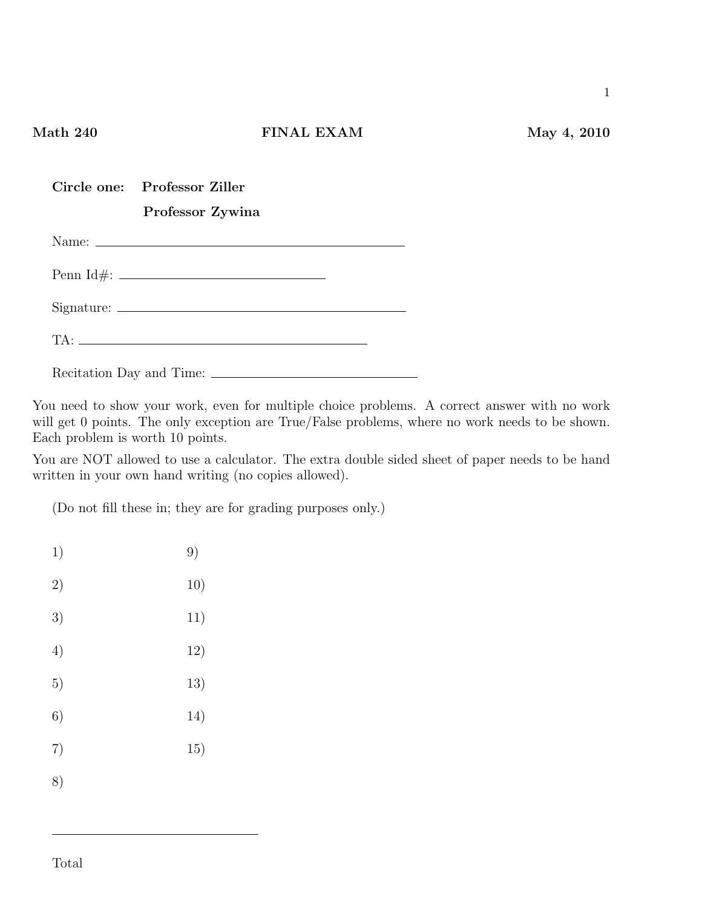## Math 240 FINAL EXAM May 4, 2010

1

| Circle one: Professor Ziller                                                                                                                                                                                                                                                                                                                                                                                                                                 |
|--------------------------------------------------------------------------------------------------------------------------------------------------------------------------------------------------------------------------------------------------------------------------------------------------------------------------------------------------------------------------------------------------------------------------------------------------------------|
| Professor Zywina                                                                                                                                                                                                                                                                                                                                                                                                                                             |
| Name: $\frac{1}{\sqrt{1-\frac{1}{2}}\sqrt{1-\frac{1}{2}}\left\vert \frac{1}{2}+1\right\vert +\left\vert \frac{1}{2}+1\right\vert +\left\vert \frac{1}{2}+1\right\vert +\left\vert \frac{1}{2}+1\right\vert +\left\vert \frac{1}{2}+1\right\vert +\left\vert \frac{1}{2}+1\right\vert +\left\vert \frac{1}{2}+1\right\vert +\left\vert \frac{1}{2}+1\right\vert +\left\vert \frac{1}{2}+1\right\vert +\left\vert \frac{1}{2}+1\right\vert +\left\vert \frac{$ |
|                                                                                                                                                                                                                                                                                                                                                                                                                                                              |
|                                                                                                                                                                                                                                                                                                                                                                                                                                                              |
| TA:                                                                                                                                                                                                                                                                                                                                                                                                                                                          |
| Recitation Day and Time:                                                                                                                                                                                                                                                                                                                                                                                                                                     |

You need to show your work, even for multiple choice problems. A correct answer with no work will get 0 points. The only exception are True/False problems, where no work needs to be shown. Each problem is worth 10 points.

You are NOT allowed to use a calculator. The extra double sided sheet of paper needs to be hand written in your own hand writing (no copies allowed).

(Do not fill these in; they are for grading purposes only.)

- 1) 9)
- 2) 10)
- 3) 11)
- 4) 12)
- 5) 13)
- 6) 14)
- 7) 15)
- 8)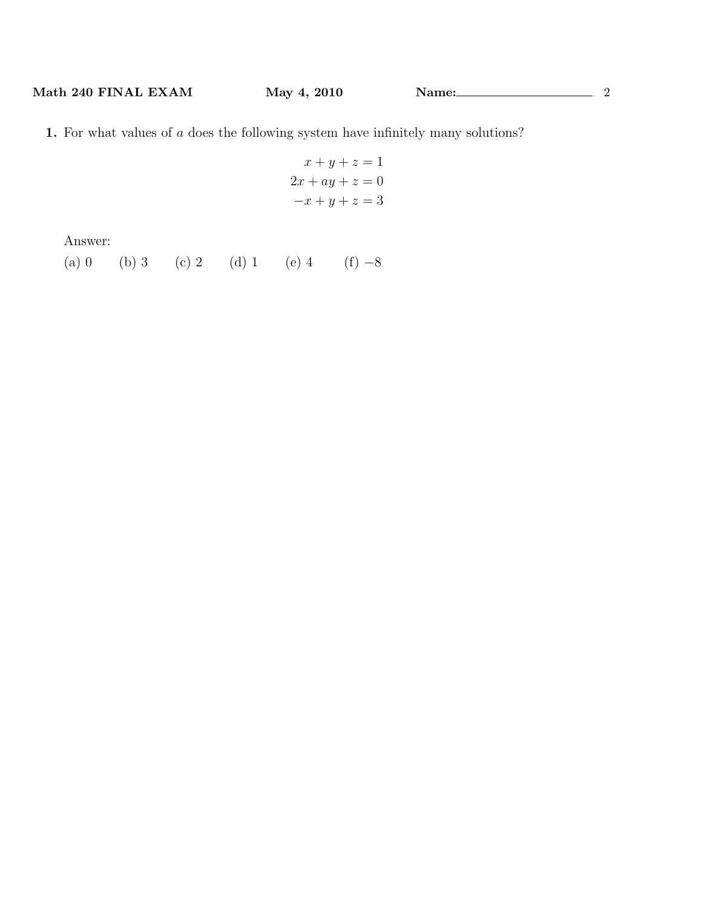1. For what values of a does the following system have infinitely many solutions?

$$
x + y + z = 1
$$

$$
2x + ay + z = 0
$$

$$
-x + y + z = 3
$$

Answer:

(a) 0 (b) 3 (c) 2 (d) 1 (e) 4 (f)  $-8$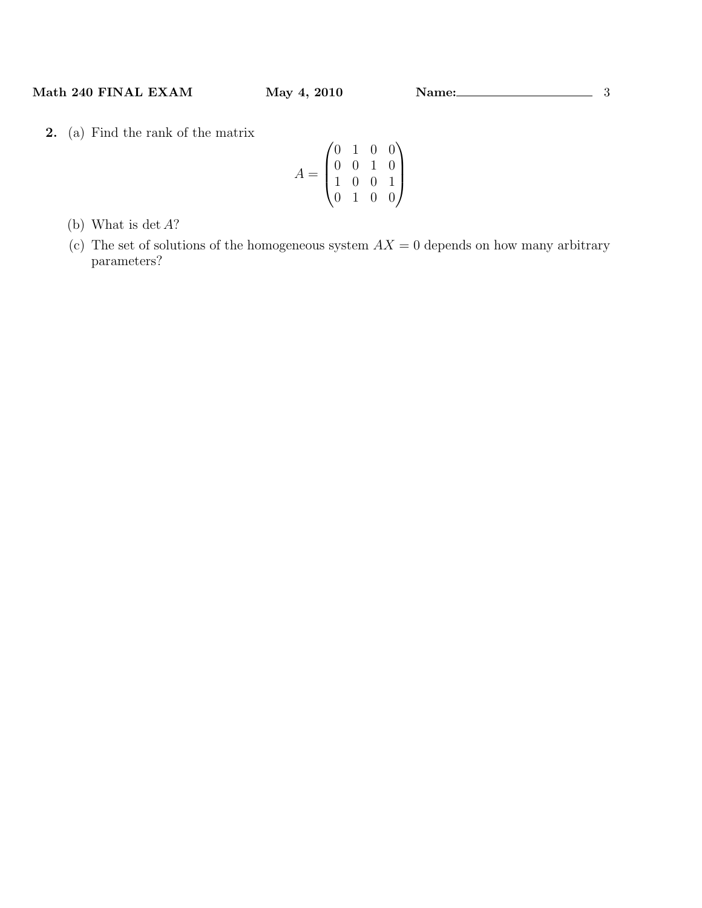2. (a) Find the rank of the matrix

$$
A = \begin{pmatrix} 0 & 1 & 0 & 0 \\ 0 & 0 & 1 & 0 \\ 1 & 0 & 0 & 1 \\ 0 & 1 & 0 & 0 \end{pmatrix}
$$

- (b) What is  $\det A$ ?
- (c) The set of solutions of the homogeneous system  $AX = 0$  depends on how many arbitrary parameters?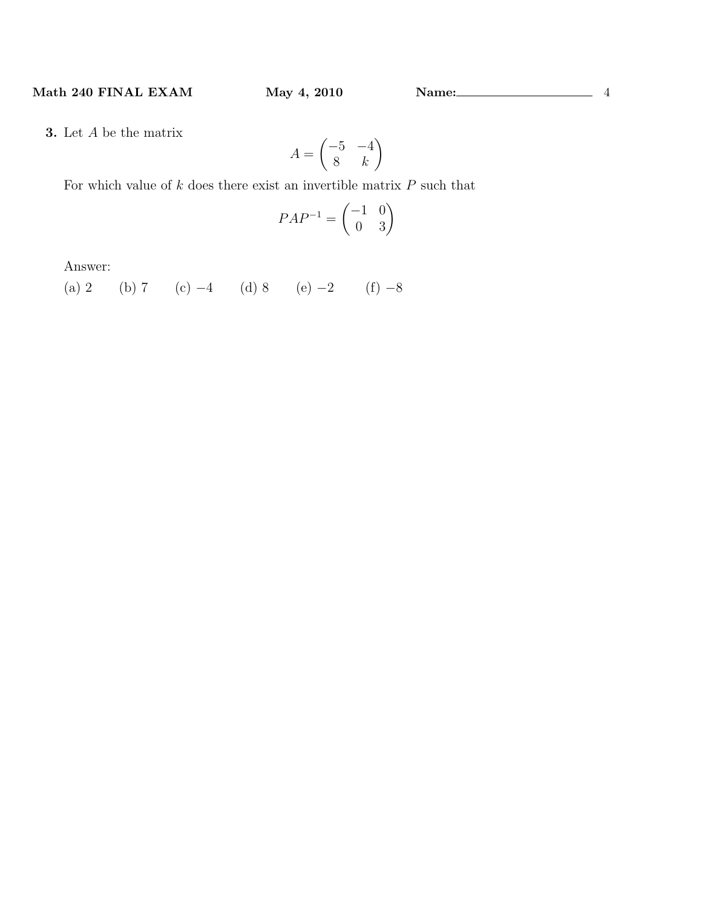3. Let A be the matrix

$$
A = \begin{pmatrix} -5 & -4 \\ 8 & k \end{pmatrix}
$$

For which value of  $k$  does there exist an invertible matrix  $P$  such that

$$
PAP^{-1} = \begin{pmatrix} -1 & 0\\ 0 & 3 \end{pmatrix}
$$

Answer:

(a) 2 (b) 7 (c) −4 (d) 8 (e) −2 (f) −8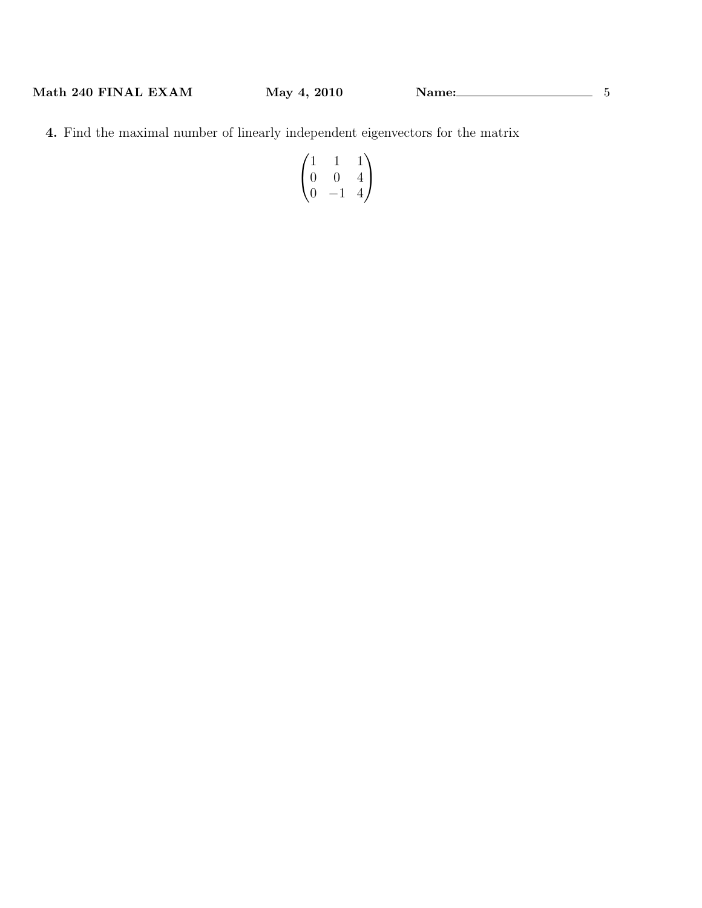4. Find the maximal number of linearly independent eigenvectors for the matrix

$$
\begin{pmatrix} 1 & 1 & 1 \ 0 & 0 & 4 \ 0 & -1 & 4 \end{pmatrix}
$$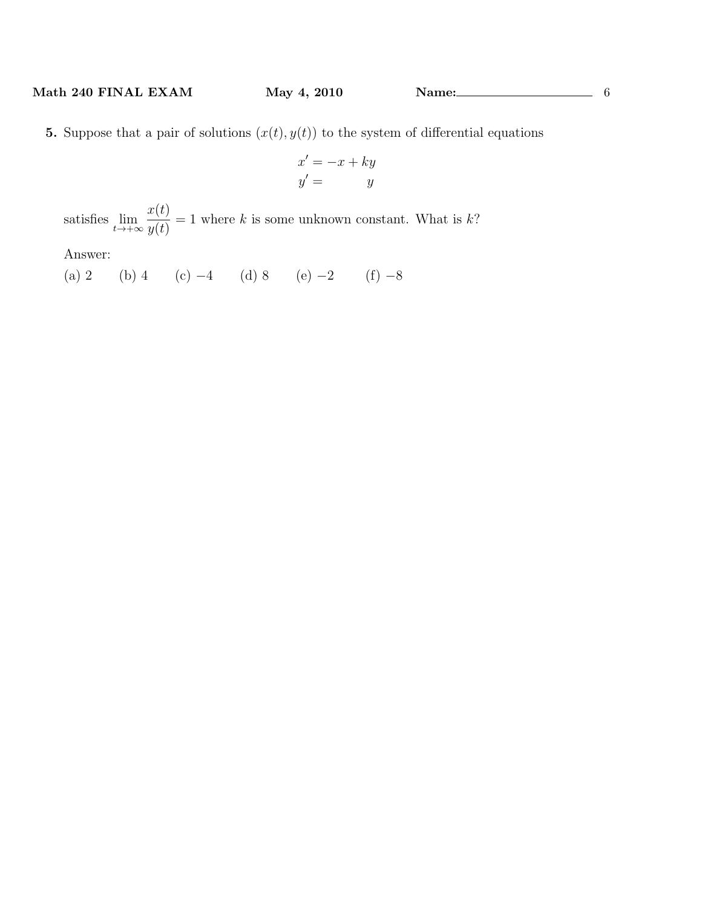$$
x' = -x + ky
$$

$$
y' = y
$$

satisfies  $\lim_{t\to+\infty}$  $x(t)$  $y(t)$  $= 1$  where k is some unknown constant. What is  $k$ ?

Answer:

(a) 2 (b) 4 (c) −4 (d) 8 (e) −2 (f) −8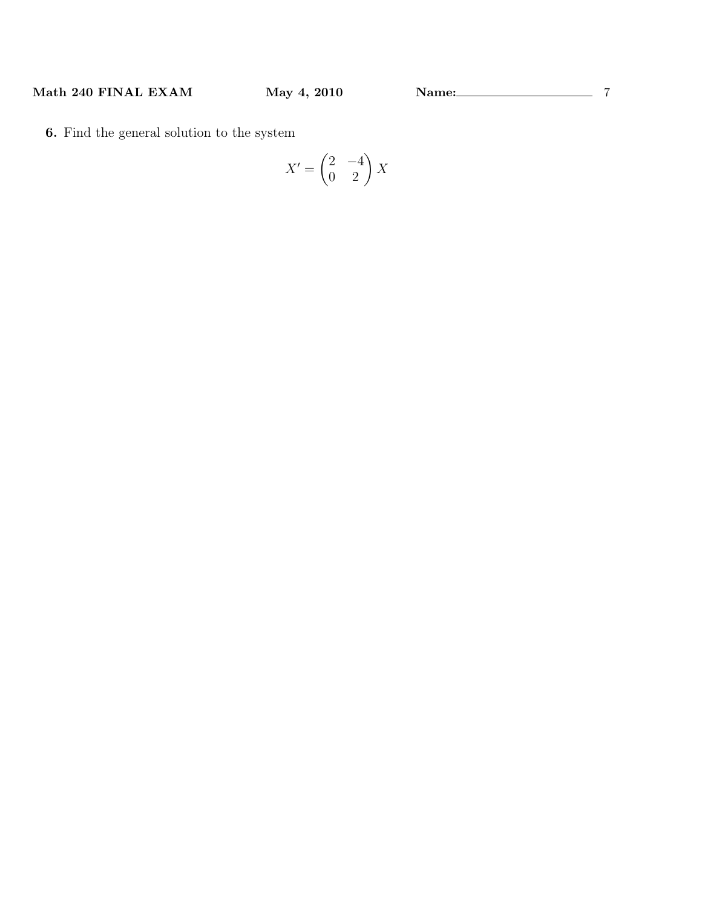6. Find the general solution to the system

$$
X' = \begin{pmatrix} 2 & -4 \\ 0 & 2 \end{pmatrix} X
$$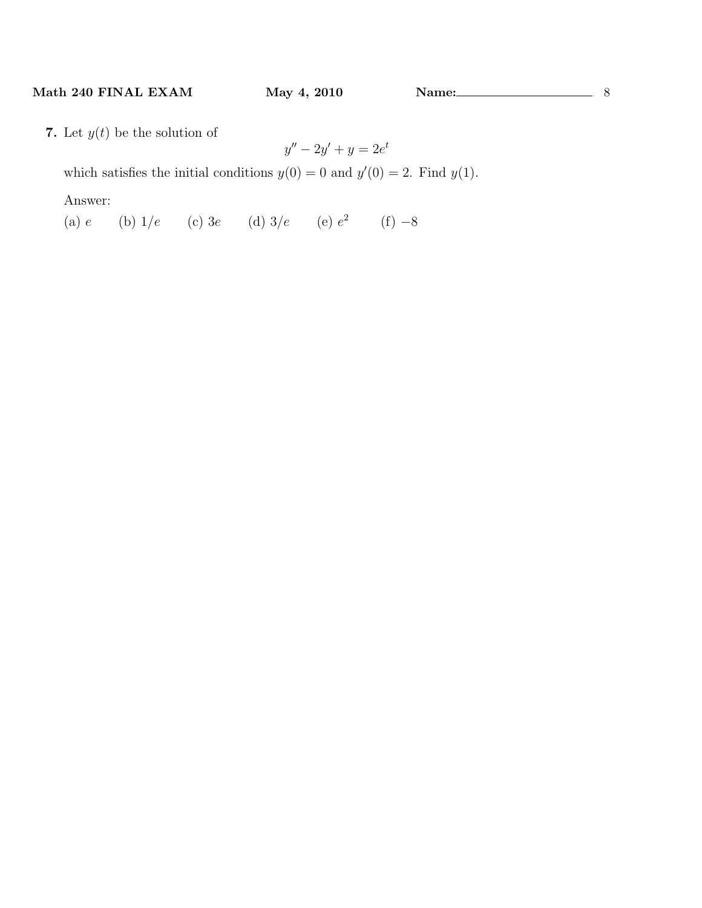7. Let  $y(t)$  be the solution of

$$
y'' - 2y' + y = 2e^t
$$

which satisfies the initial conditions  $y(0) = 0$  and  $y'(0) = 2$ . Find  $y(1)$ .

Answer:

(a) e (b)  $1/e$  (c)  $3e$  (d)  $3/e$  (e)  $e^2$  (f) -8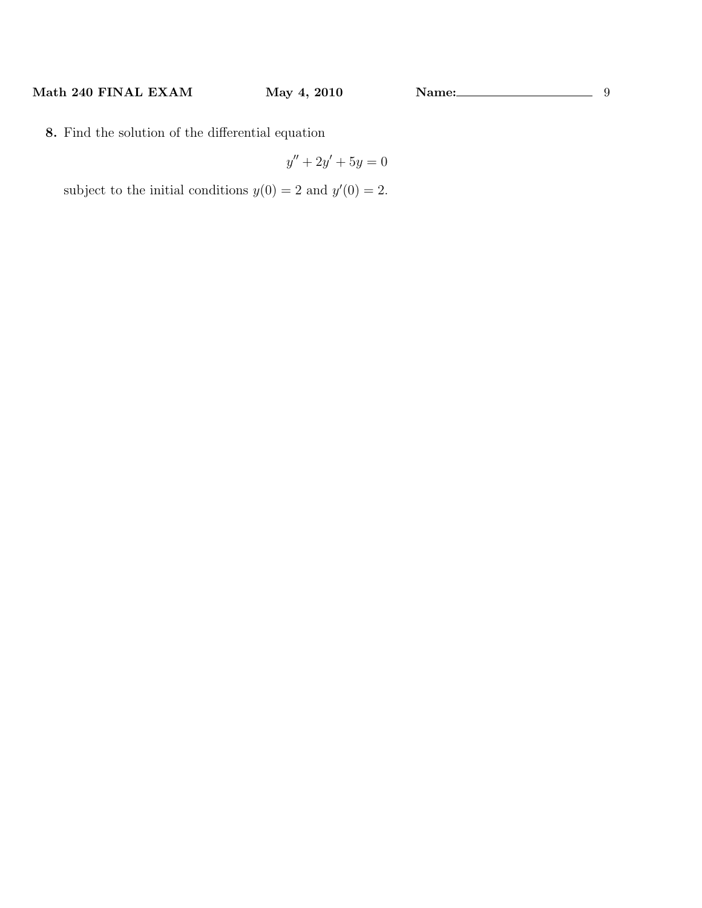8. Find the solution of the differential equation

$$
y'' + 2y' + 5y = 0
$$

subject to the initial conditions  $y(0) = 2$  and  $y'(0) = 2$ .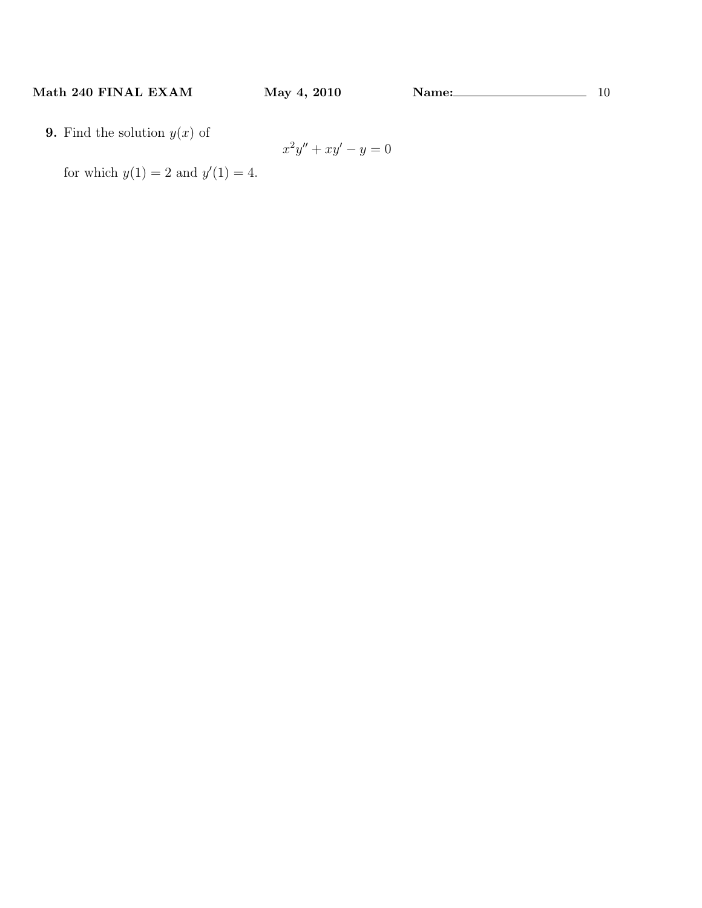**9.** Find the solution  $y(x)$  of

$$
x^2y'' + xy' - y = 0
$$

for which  $y(1) = 2$  and  $y'(1) = 4$ .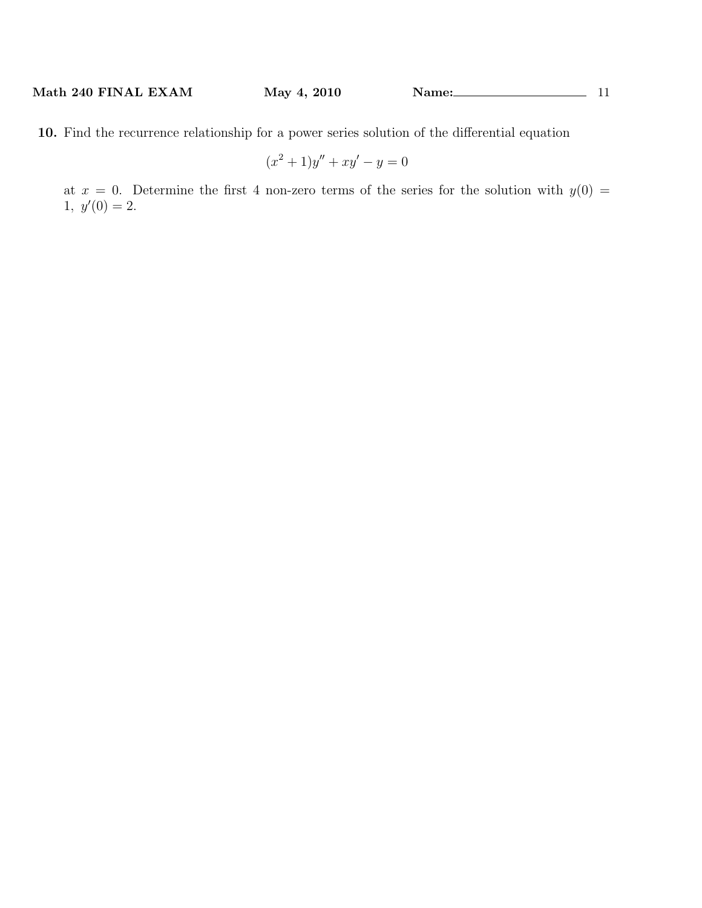10. Find the recurrence relationship for a power series solution of the differential equation

$$
(x^2 + 1)y'' + xy' - y = 0
$$

at  $x = 0$ . Determine the first 4 non-zero terms of the series for the solution with  $y(0) =$  $1, y'(0) = 2.$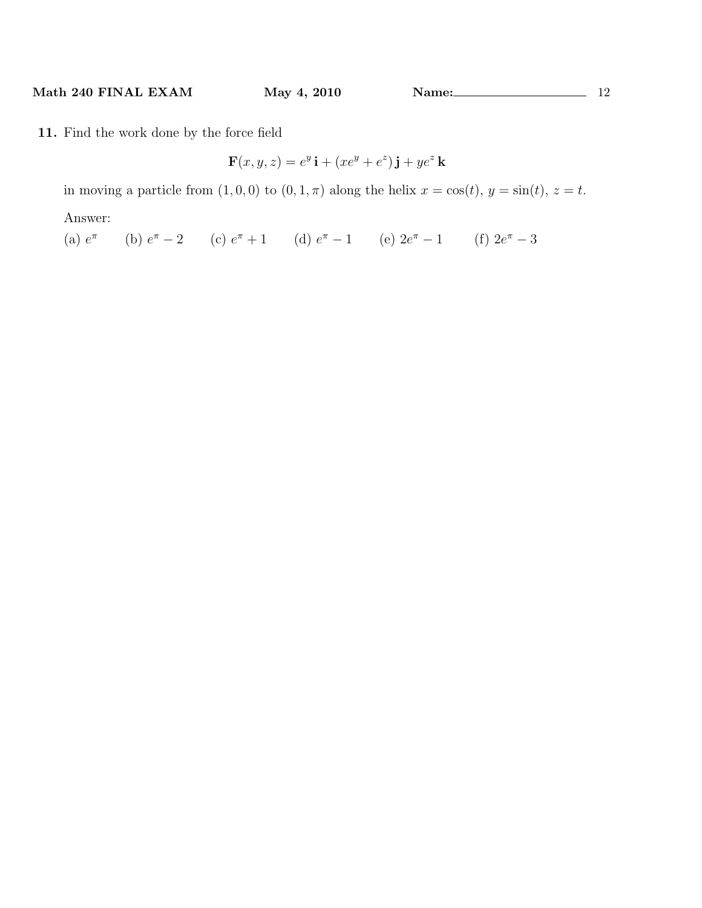11. Find the work done by the force field

$$
\mathbf{F}(x, y, z) = e^y \mathbf{i} + (xe^y + e^z) \mathbf{j} + ye^z \mathbf{k}
$$

in moving a particle from  $(1, 0, 0)$  to  $(0, 1, \pi)$  along the helix  $x = \cos(t)$ ,  $y = \sin(t)$ ,  $z = t$ .

Answer:

(a)  $e^{\pi}$  (b)  $e^{\pi} - 2$  (c)  $e^{\pi} + 1$  (d)  $e^{\pi} - 1$  (e)  $2e^{\pi} - 1$  (f)  $2e^{\pi} - 3$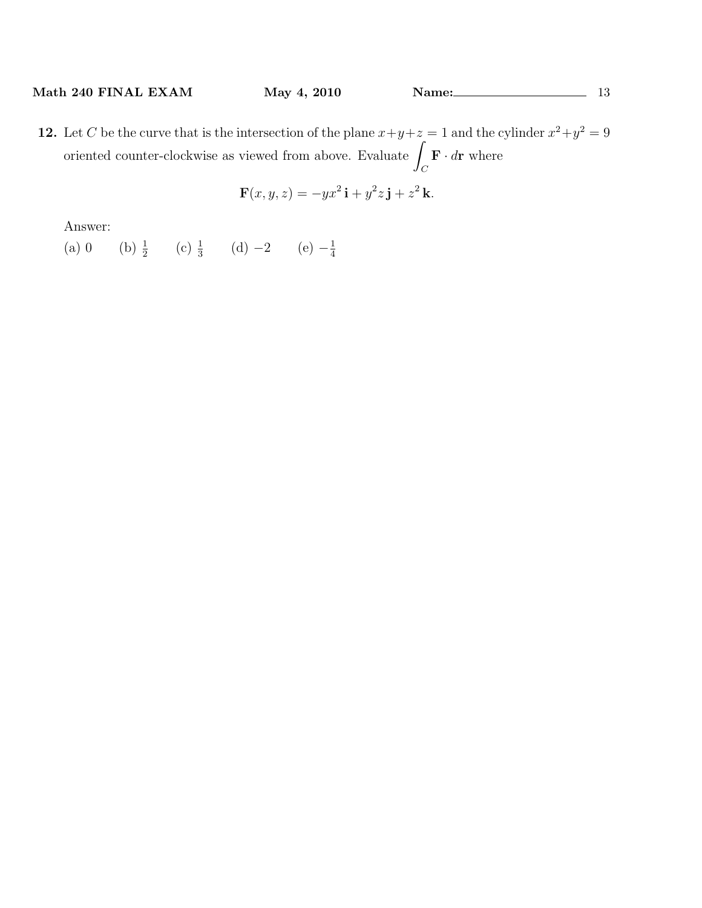12. Let C be the curve that is the intersection of the plane  $x+y+z=1$  and the cylinder  $x^2+y^2=9$ oriented counter-clockwise as viewed from above. Evaluate  $\int$  $\mathcal{C}_{0}^{0}$  $\mathbf{F} \cdot d\mathbf{r}$  where

$$
\mathbf{F}(x, y, z) = -yx^2 \,\mathbf{i} + y^2 z \,\mathbf{j} + z^2 \,\mathbf{k}.
$$

Answer:

(a) 0 (b)  $\frac{1}{2}$  (c)  $\frac{1}{3}$  (d) -2 (e)  $-\frac{1}{4}$ 4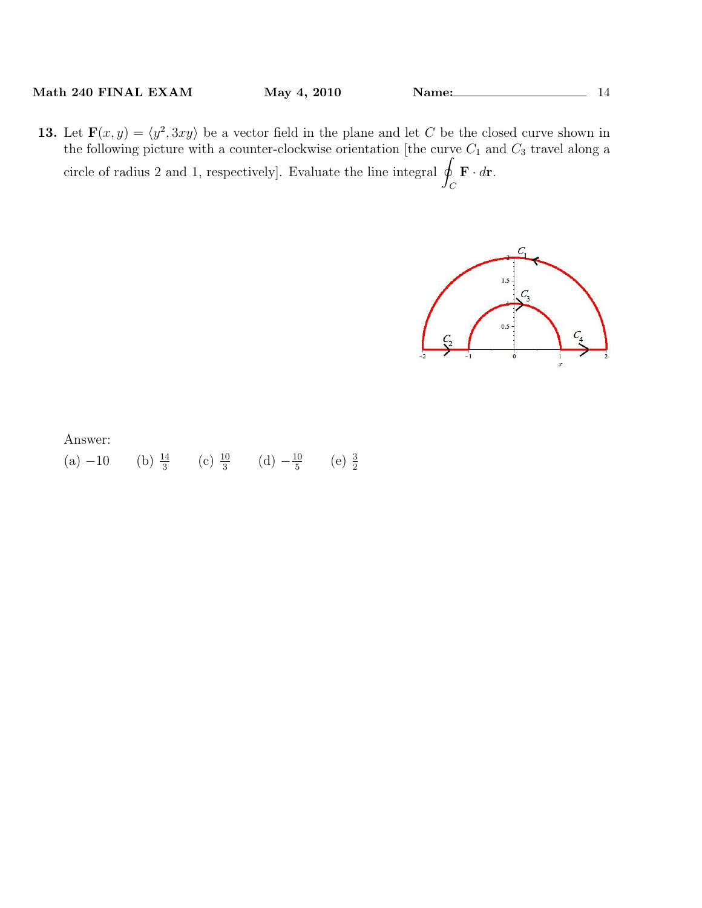13. Let  $\mathbf{F}(x, y) = \langle y^2, 3xy \rangle$  be a vector field in the plane and let C be the closed curve shown in the following picture with a counter-clockwise orientation [the curve  $C_1$  and  $C_3$  travel along a circle of radius 2 and 1, respectively]. Evaluate the line integral  $\beta$  $\mathcal{C}_{0}^{0}$  $\mathbf{F} \cdot d\mathbf{r}$ .



### Answer:

 $(a) -10$  $\frac{14}{3}$  (c)  $\frac{10}{3}$  (d)  $-\frac{10}{5}$  $\frac{10}{5}$  (e)  $\frac{3}{2}$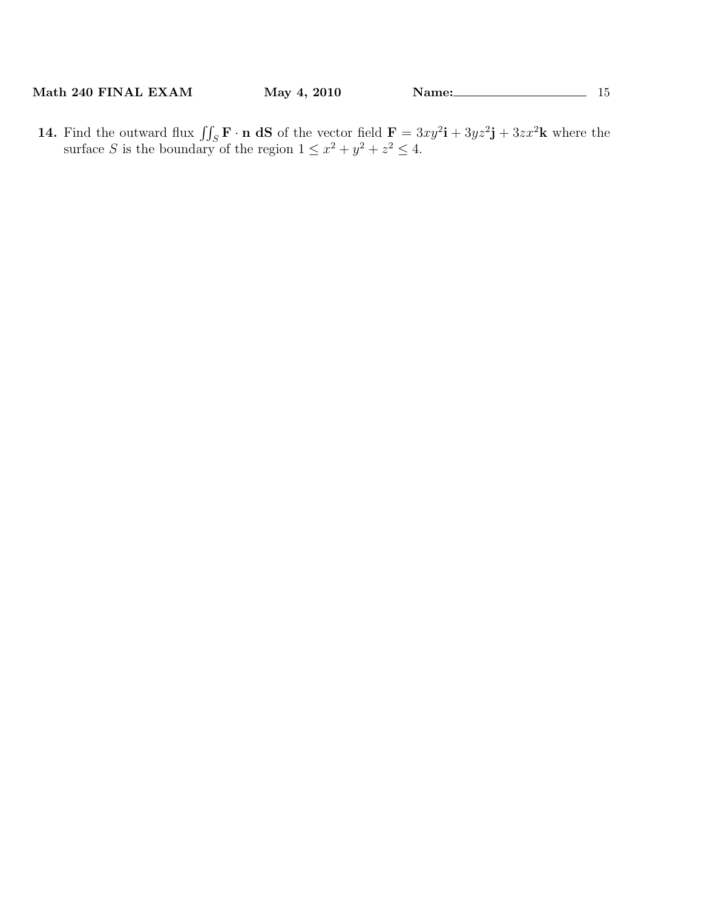14. Find the outward flux  $\iint_S \mathbf{F} \cdot \mathbf{n} dS$  of the vector field  $\mathbf{F} = 3xy^2\mathbf{i} + 3yz^2\mathbf{j} + 3zx^2\mathbf{k}$  where the surface S is the boundary of the region  $1 \leq x^2 + y^2 + z^2 \leq 4$ .